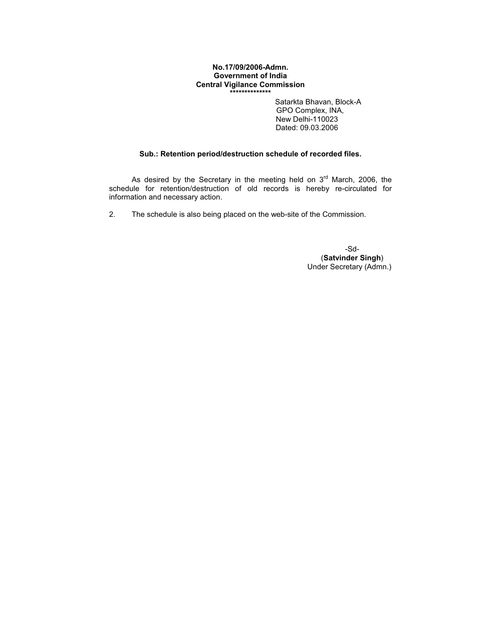## No.17/09/2006-Admn. Government of India Central Vigilance Commission \*\*\*\*\*\*\*\*\*\*\*\*\*\*

Satarkta Bhavan, Block-A GPO Complex, INA, New Delhi-110023 Dated: 09.03.2006

## Sub.: Retention period/destruction schedule of recorded files.

As desired by the Secretary in the meeting held on  $3<sup>rd</sup>$  March, 2006, the schedule for retention/destruction of old records is hereby re-circulated for information and necessary action.

2. The schedule is also being placed on the web-site of the Commission.

-Sd- (Satvinder Singh) Under Secretary (Admn.)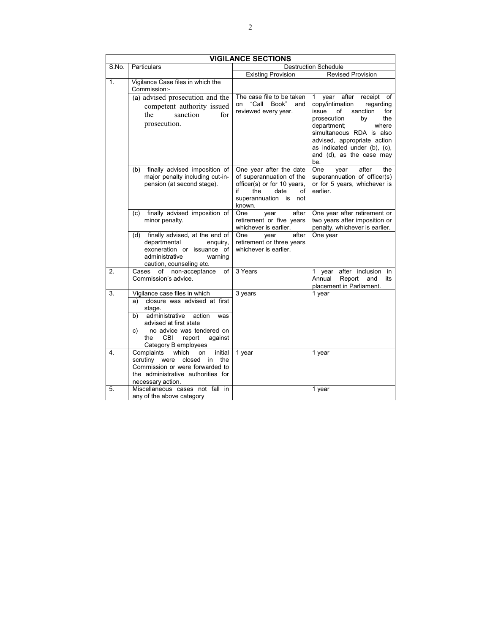|       | <b>VIGILANCE SECTIONS</b>                                                                                                                                                                                                                      |                                                                                                                                                     |                                                                                                                                                                                                                                                                                    |
|-------|------------------------------------------------------------------------------------------------------------------------------------------------------------------------------------------------------------------------------------------------|-----------------------------------------------------------------------------------------------------------------------------------------------------|------------------------------------------------------------------------------------------------------------------------------------------------------------------------------------------------------------------------------------------------------------------------------------|
| S.No. | <b>Particulars</b>                                                                                                                                                                                                                             |                                                                                                                                                     | <b>Destruction Schedule</b>                                                                                                                                                                                                                                                        |
|       |                                                                                                                                                                                                                                                | <b>Existing Provision</b>                                                                                                                           | <b>Revised Provision</b>                                                                                                                                                                                                                                                           |
| 1.    | Vigilance Case files in which the<br>Commission:-                                                                                                                                                                                              |                                                                                                                                                     |                                                                                                                                                                                                                                                                                    |
|       | (a) advised prosecution and the<br>competent authority issued<br>the<br>sanction<br>for<br>prosecution.                                                                                                                                        | The case file to be taken<br>"Call Book"<br>on<br>and<br>reviewed every year.                                                                       | year after<br>receipt of<br>1.<br>copy/intimation<br>regarding<br>issue<br>of<br>sanction<br>for<br>prosecution<br>the<br>by<br>department;<br>where<br>simultaneous RDA is also<br>advised, appropriate action<br>as indicated under (b), (c),<br>and (d), as the case may<br>be. |
|       | finally advised imposition of<br>(b)<br>major penalty including cut-in-<br>pension (at second stage).                                                                                                                                          | One year after the date<br>of superannuation of the<br>officer(s) or for 10 years,<br>date<br>if<br>the<br>of<br>superannuation is<br>not<br>known. | One<br>after<br>the<br>year<br>superannuation of officer(s)<br>or for 5 years, whichever is<br>earlier.                                                                                                                                                                            |
|       | finally advised imposition of<br>(c)<br>minor penalty.                                                                                                                                                                                         | after<br>One<br>year<br>retirement or five years<br>whichever is earlier.                                                                           | One year after retirement or<br>two years after imposition or<br>penalty, whichever is earlier.                                                                                                                                                                                    |
|       | finally advised, at the end of<br>(d)<br>departmental<br>enquiry,<br>exoneration or issuance of<br>administrative<br>warning<br>caution, counseling etc.                                                                                       | One<br>after<br>year<br>retirement or three years<br>whichever is earlier.                                                                          | One year                                                                                                                                                                                                                                                                           |
| 2.    | of non-acceptance<br>Cases<br>of<br>Commission's advice.                                                                                                                                                                                       | 3 Years                                                                                                                                             | after inclusion in<br>$\mathbf{1}$<br>year<br>Annual<br>Report<br>and<br>its<br>placement in Parliament.                                                                                                                                                                           |
| 3.    | Vigilance case files in which<br>closure was advised at first<br>a)<br>stage.<br>administrative<br>action<br>b)<br>was<br>advised at first state<br>no advice was tendered on<br>C)<br>CBI<br>the<br>report<br>against<br>Category B employees | 3 years                                                                                                                                             | 1 year                                                                                                                                                                                                                                                                             |
| 4.    | Complaints<br>which<br>on<br>initial<br>scrutiny were<br>the<br>closed<br>in<br>Commission or were forwarded to<br>the administrative authorities for<br>necessary action.                                                                     | 1 year                                                                                                                                              | 1 year                                                                                                                                                                                                                                                                             |
| 5.    | Miscellaneous cases not fall in<br>any of the above category                                                                                                                                                                                   |                                                                                                                                                     | 1 year                                                                                                                                                                                                                                                                             |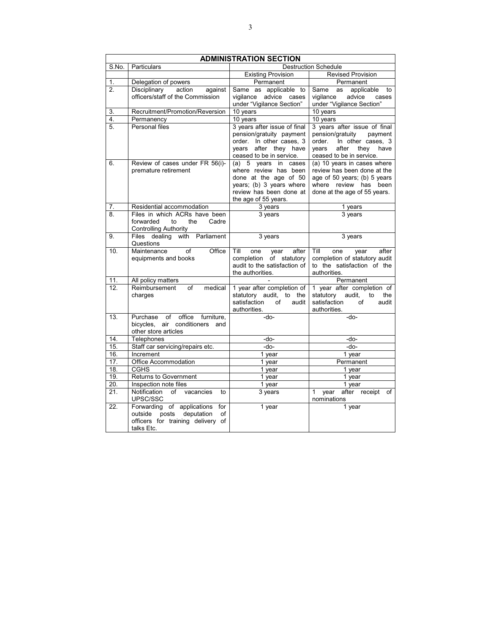|                          | <b>ADMINISTRATION SECTION</b>                                                                                             |                                                                                                                                                       |                                                                                                                                                          |
|--------------------------|---------------------------------------------------------------------------------------------------------------------------|-------------------------------------------------------------------------------------------------------------------------------------------------------|----------------------------------------------------------------------------------------------------------------------------------------------------------|
| S.No.                    | Particulars                                                                                                               |                                                                                                                                                       | <b>Destruction Schedule</b>                                                                                                                              |
|                          |                                                                                                                           | <b>Existing Provision</b>                                                                                                                             | <b>Revised Provision</b>                                                                                                                                 |
| 1.                       | Delegation of powers                                                                                                      | Permanent                                                                                                                                             | Permanent                                                                                                                                                |
| $\overline{2}$ .         | Disciplinary<br>action<br>against<br>officers/staff of the Commission                                                     | Same as applicable to<br>vigilance advice cases<br>under "Vigilance Section"                                                                          | applicable<br>Same<br>to<br>as<br>advice<br>vigilance<br>cases<br>under "Vigilance Section"                                                              |
| 3.                       | Recruitment/Promotion/Reversion                                                                                           | 10 years                                                                                                                                              | 10 years                                                                                                                                                 |
| 4.                       | Permanency                                                                                                                | 10 years                                                                                                                                              | 10 years                                                                                                                                                 |
| 5.                       | Personal files                                                                                                            | 3 years after issue of final<br>pension/gratuity payment<br>order. In other cases, 3<br>years after they have<br>ceased to be in service.             | 3 years after issue of final<br>pension/gratuity<br>payment<br>In other cases, 3<br>order.<br>after<br>they<br>have<br>vears<br>ceased to be in service. |
| 6.                       | Review of cases under FR 56(i)-<br>premature retirement                                                                   | (a) 5 years in cases<br>where review has been<br>done at the age of 50<br>years; (b) 3 years where<br>review has been done at<br>the age of 55 years. | (a) 10 years in cases where<br>review has been done at the<br>age of 50 years; (b) 5 years<br>where review has been<br>done at the age of 55 years.      |
| 7.                       | Residential accommodation                                                                                                 | 3 years                                                                                                                                               | $\overline{1}$ years                                                                                                                                     |
| 8.                       | Files in which ACRs have been<br>forwarded<br>the<br>Cadre<br>to<br><b>Controlling Authority</b>                          | 3 years                                                                                                                                               | $3$ years                                                                                                                                                |
| 9.                       | Files dealing with Parliament<br>Questions                                                                                | 3 years                                                                                                                                               | 3 years                                                                                                                                                  |
| 10.                      | Maintenance<br>Office<br>of<br>equipments and books                                                                       | Till<br>one<br>year<br>after<br>completion<br>of statutory<br>audit to the satisfaction of<br>the authorities.                                        | Till<br>one<br>after<br>year<br>completion of statutory audit<br>to the satisfaction of the<br>authorities.                                              |
| 11.                      | All policy matters                                                                                                        |                                                                                                                                                       | Permanent                                                                                                                                                |
| 12.                      | Reimbursement<br>of<br>medical<br>charges                                                                                 | 1 year after completion of<br>statutory audit, to the<br>satisfaction<br>of<br>audit<br>authorities.                                                  | 1 year after completion of<br>statutory<br>audit,<br>to<br>the<br>satisfaction<br>of<br>audit<br>authorities.                                            |
| 13.                      | office<br>Purchase<br>of<br>furniture,<br>bicycles, air conditioners<br>and<br>other store articles                       | -do-                                                                                                                                                  | -do-                                                                                                                                                     |
| 14.                      | Telephones                                                                                                                | -do-                                                                                                                                                  | -do-                                                                                                                                                     |
| 15.                      | Staff car servicing/repairs etc.                                                                                          | -do-                                                                                                                                                  | $-do-$                                                                                                                                                   |
| 16.                      | Increment                                                                                                                 | 1 year                                                                                                                                                | $1$ year                                                                                                                                                 |
| $\overline{17}$ .        | Office Accommodation                                                                                                      | $1$ year                                                                                                                                              | Permanent                                                                                                                                                |
| 18.                      | <b>CGHS</b>                                                                                                               | 1 year                                                                                                                                                | $1$ year                                                                                                                                                 |
| 19.                      | Returns to Government                                                                                                     | 1 year                                                                                                                                                | $1$ year                                                                                                                                                 |
| $\overline{20}$ .<br>21. | Inspection note files<br>Notification<br>of vacancies<br>to<br>UPSC/SSC                                                   | 1 year<br>$3$ years                                                                                                                                   | $1$ year<br>after receipt<br>1 year<br>of<br>nominations                                                                                                 |
| 22.                      | Forwarding of applications for<br>deputation<br>outside<br>posts<br>of<br>officers for training delivery of<br>talks Etc. | 1 year                                                                                                                                                | 1 year                                                                                                                                                   |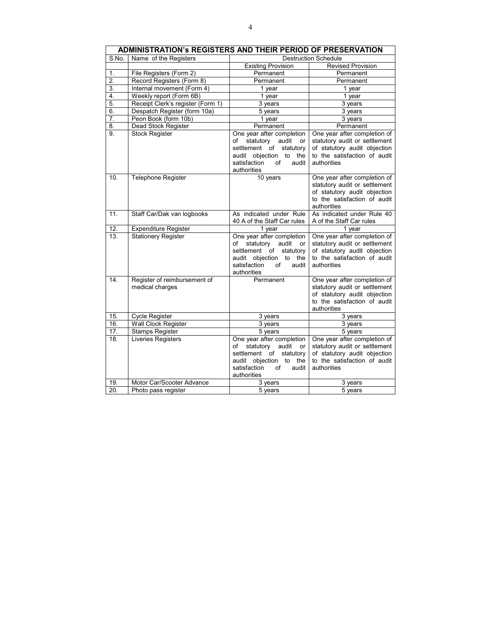|                   | ADMINISTRATION's REGISTERS AND THEIR PERIOD OF PRESERVATION |                                                                                                                                                                            |                                                                                                                                              |  |
|-------------------|-------------------------------------------------------------|----------------------------------------------------------------------------------------------------------------------------------------------------------------------------|----------------------------------------------------------------------------------------------------------------------------------------------|--|
| S.No.             | Name of the Registers                                       |                                                                                                                                                                            | <b>Destruction Schedule</b>                                                                                                                  |  |
|                   |                                                             | <b>Existing Provision</b>                                                                                                                                                  | <b>Revised Provision</b>                                                                                                                     |  |
| 1.                | File Registers (Form 2)                                     | Permanent                                                                                                                                                                  | Permanent                                                                                                                                    |  |
| $\overline{2}$ .  | Record Registers (Form 8)                                   | Permanent                                                                                                                                                                  | Permanent                                                                                                                                    |  |
| 3.                | Internal movement (Form 4)                                  | 1 year                                                                                                                                                                     | 1 year                                                                                                                                       |  |
| 4.                | Weekly report (Form 6B)                                     | 1 year                                                                                                                                                                     | 1 year                                                                                                                                       |  |
| $\overline{5}$ .  | Receipt Clerk's register (Form 1)                           | 3 years                                                                                                                                                                    | 3 years                                                                                                                                      |  |
| 6.                | Despatch Register (form 10a)                                | $5$ years                                                                                                                                                                  | $3$ years                                                                                                                                    |  |
| 7.                | Peon Book (form 10b)                                        | 1 year                                                                                                                                                                     | 3 years                                                                                                                                      |  |
| 8.                | Dead Stock Register                                         | Permanent                                                                                                                                                                  | Permanent                                                                                                                                    |  |
| 9.                | <b>Stock Register</b>                                       | One year after completion<br>statutory<br>audit<br>οf<br>or<br>settlement of<br>statutory<br>audit objection<br>to<br>the<br>satisfaction<br>of<br>audit<br>authorities    | One year after completion of<br>statutory audit or settlement<br>of statutory audit objection<br>to the satisfaction of audit<br>authorities |  |
| 10.               | <b>Telephone Register</b>                                   | 10 years                                                                                                                                                                   | One year after completion of<br>statutory audit or settlement<br>of statutory audit objection<br>to the satisfaction of audit<br>authorities |  |
| 11.               | Staff Car/Dak van logbooks                                  | As indicated under Rule<br>40 A of the Staff Car rules                                                                                                                     | As indicated under Rule 40<br>A of the Staff Car rules                                                                                       |  |
| 12.               | <b>Expenditure Register</b>                                 | 1 year                                                                                                                                                                     | 1 year                                                                                                                                       |  |
| $\overline{13}$ . | <b>Stationery Register</b>                                  | One year after completion<br>statutory<br>audit<br>of<br>or<br>settlement<br>of<br>statutory<br>audit objection<br>to<br>the<br>satisfaction<br>of<br>audit<br>authorities | One year after completion of<br>statutory audit or settlement<br>of statutory audit objection<br>to the satisfaction of audit<br>authorities |  |
| 14.               | Register of reimbursement of<br>medical charges             | Permanent                                                                                                                                                                  | One year after completion of<br>statutory audit or settlement<br>of statutory audit objection<br>to the satisfaction of audit<br>authorities |  |
| 15.               | <b>Cycle Register</b>                                       | 3 years                                                                                                                                                                    | 3 years                                                                                                                                      |  |
| $\overline{16}$ . | Wall Clock Register                                         | 3 years                                                                                                                                                                    | 3 years                                                                                                                                      |  |
| 17.               | <b>Stamps Register</b>                                      | $\overline{5}$ years                                                                                                                                                       | 5 years                                                                                                                                      |  |
| 18.               | Liveries Registers                                          | One year after completion<br>of<br>statutory<br>audit<br>or<br>settlement<br>statutory<br>of<br>audit objection<br>to<br>the<br>satisfaction<br>of<br>audit<br>authorities | One year after completion of<br>statutory audit or settlement<br>of statutory audit objection<br>to the satisfaction of audit<br>authorities |  |
| 19.               | Motor Car/Scooter Advance                                   | 3 years                                                                                                                                                                    | 3 years                                                                                                                                      |  |
| 20.               | Photo pass register                                         | 5 years                                                                                                                                                                    | 5 years                                                                                                                                      |  |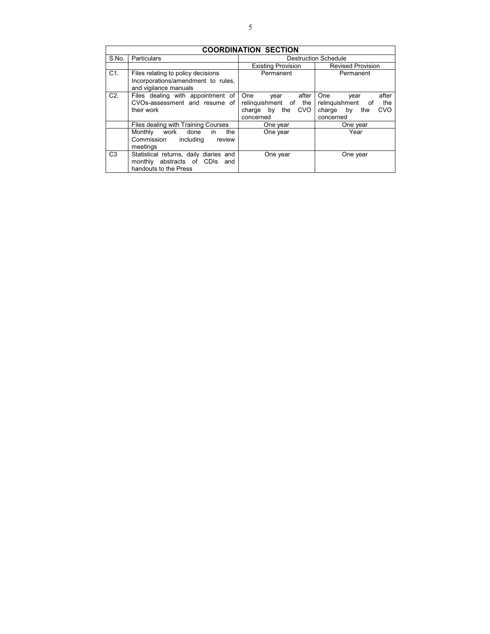| <b>COORDINATION SECTION</b> |                                                                                                   |                                                                                           |                                                                                             |
|-----------------------------|---------------------------------------------------------------------------------------------------|-------------------------------------------------------------------------------------------|---------------------------------------------------------------------------------------------|
| S.No.                       | Particulars                                                                                       |                                                                                           | <b>Destruction Schedule</b>                                                                 |
|                             |                                                                                                   | <b>Existing Provision</b>                                                                 | <b>Revised Provision</b>                                                                    |
| $C1$ .                      | Files relating to policy decisions<br>Incorporations/amendment to rules,<br>and vigilance manuals | Permanent                                                                                 | Permanent                                                                                   |
| C2.                         | Files dealing with appointment of<br>CVOs-assessment and resume of<br>their work                  | after<br>One<br>year<br>relinguishment of the<br><b>CVO</b><br>charge by the<br>concerned | after<br>One<br>year<br>relinguishment of<br>the<br>CVO<br>charge<br>by<br>the<br>concerned |
|                             | Files dealing with Training Courses                                                               | One year                                                                                  | One year                                                                                    |
|                             | Monthly<br>work<br>the<br>done<br>in.<br>Commission<br>including<br>review<br>meetings            | One year                                                                                  | Year                                                                                        |
| C <sub>3</sub>              | Statistical returns, daily diaries and<br>monthly abstracts of CDIs and<br>handouts to the Press  | One year                                                                                  | One year                                                                                    |